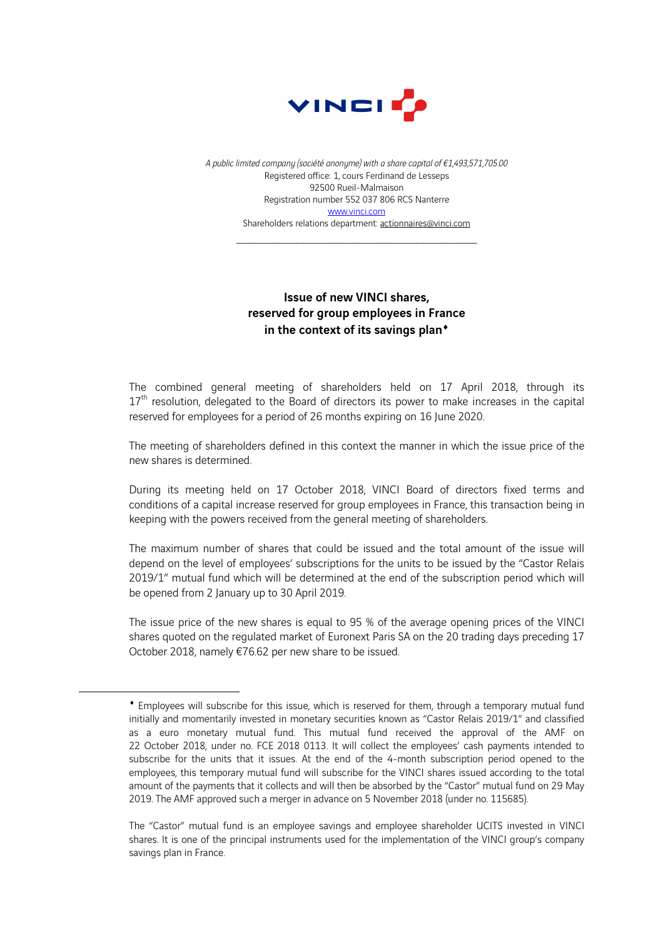

*A public limited company (société anonyme) with a share capital of €1,493,571,705.00* Registered office: 1, cours Ferdinand de Lesseps 92500 Rueil-Malmaison Registration number 552 037 806 RCS Nanterre www.vinci.com Shareholders relations department: actionnaires@vinci.com

## Issue of new VINCI shares, reserved for group employees in France in the context of its savings plan<sup>\*</sup>

The combined general meeting of shareholders held on 17 April 2018, through its 17<sup>th</sup> resolution, delegated to the Board of directors its power to make increases in the capital reserved for employees for a period of 26 months expiring on 16 June 2020.

The meeting of shareholders defined in this context the manner in which the issue price of the new shares is determined.

During its meeting held on 17 October 2018, VINCI Board of directors fixed terms and conditions of a capital increase reserved for group employees in France, this transaction being in keeping with the powers received from the general meeting of shareholders.

The maximum number of shares that could be issued and the total amount of the issue will depend on the level of employees' subscriptions for the units to be issued by the "Castor Relais 2019/1" mutual fund which will be determined at the end of the subscription period which will be opened from 2 January up to 30 April 2019.

The issue price of the new shares is equal to 95 % of the average opening prices of the VINCI shares quoted on the regulated market of Euronext Paris SA on the 20 trading days preceding 17 October 2018, namely €76.62 per new share to be issued.

 $\overline{a}$ 

<sup>¨</sup> Employees will subscribe for this issue, which is reserved for them, through a temporary mutual fund initially and momentarily invested in monetary securities known as "Castor Relais 2019/1" and classified as a euro monetary mutual fund. This mutual fund received the approval of the AMF on 22 October 2018, under no. FCE 2018 0113. It will collect the employees' cash payments intended to subscribe for the units that it issues. At the end of the 4-month subscription period opened to the employees, this temporary mutual fund will subscribe for the VINCI shares issued according to the total amount of the payments that it collects and will then be absorbed by the "Castor" mutual fund on 29 May 2019. The AMF approved such a merger in advance on 5 November 2018 (under no. 115685).

The "Castor" mutual fund is an employee savings and employee shareholder UCITS invested in VINCI shares. It is one of the principal instruments used for the implementation of the VINCI group's company savings plan in France.